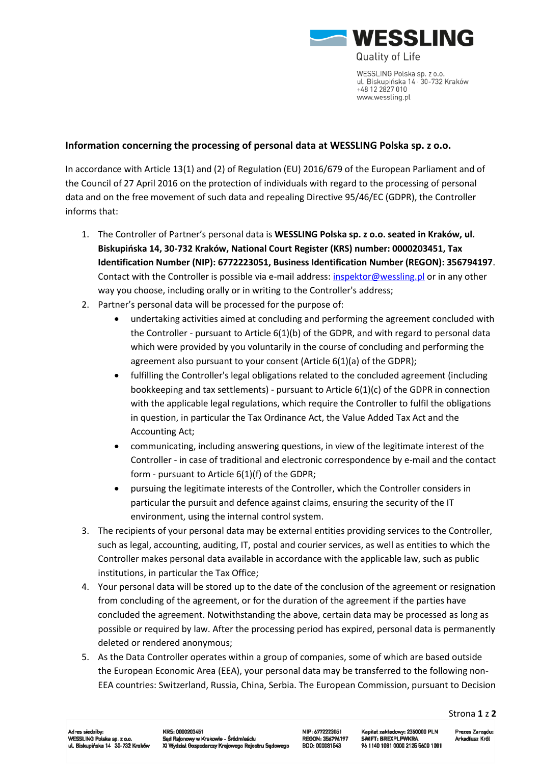

**Quality of Life** 

WESSLING Polska sp. z o.o. ul. Biskupińska 14 · 30-732 Kraków +48 12 2827 010 www.wessling.pl

## **Information concerning the processing of personal data at WESSLING Polska sp. z o.o.**

In accordance with Article 13(1) and (2) of Regulation (EU) 2016/679 of the European Parliament and of the Council of 27 April 2016 on the protection of individuals with regard to the processing of personal data and on the free movement of such data and repealing Directive 95/46/EC (GDPR), the Controller informs that:

- 1. The Controller of Partner's personal data is **WESSLING Polska sp. z o.o. seated in Kraków, ul. Biskupińska 14, 30-732 Kraków, National Court Register (KRS) number: 0000203451, Tax Identification Number (NIP): 6772223051, Business Identification Number (REGON): 356794197**. Contact with the Controller is possible via e-mail address[: inspektor@wessling.pl](mailto:inspektor@wessling.pl) or in any other way you choose, including orally or in writing to the Controller's address;
- 2. Partner's personal data will be processed for the purpose of:
	- undertaking activities aimed at concluding and performing the agreement concluded with the Controller - pursuant to Article 6(1)(b) of the GDPR, and with regard to personal data which were provided by you voluntarily in the course of concluding and performing the agreement also pursuant to your consent (Article 6(1)(a) of the GDPR);
	- fulfilling the Controller's legal obligations related to the concluded agreement (including bookkeeping and tax settlements) - pursuant to Article 6(1)(c) of the GDPR in connection with the applicable legal regulations, which require the Controller to fulfil the obligations in question, in particular the Tax Ordinance Act, the Value Added Tax Act and the Accounting Act;
	- communicating, including answering questions, in view of the legitimate interest of the Controller - in case of traditional and electronic correspondence by e-mail and the contact form - pursuant to Article 6(1)(f) of the GDPR;
	- pursuing the legitimate interests of the Controller, which the Controller considers in particular the pursuit and defence against claims, ensuring the security of the IT environment, using the internal control system.
- 3. The recipients of your personal data may be external entities providing services to the Controller, such as legal, accounting, auditing, IT, postal and courier services, as well as entities to which the Controller makes personal data available in accordance with the applicable law, such as public institutions, in particular the Tax Office;
- 4. Your personal data will be stored up to the date of the conclusion of the agreement or resignation from concluding of the agreement, or for the duration of the agreement if the parties have concluded the agreement. Notwithstanding the above, certain data may be processed as long as possible or required by law. After the processing period has expired, personal data is permanently deleted or rendered anonymous;
- 5. As the Data Controller operates within a group of companies, some of which are based outside the European Economic Area (EEA), your personal data may be transferred to the following non-EEA countries: Switzerland, Russia, China, Serbia. The European Commission, pursuant to Decision

Strona **1** z **2**